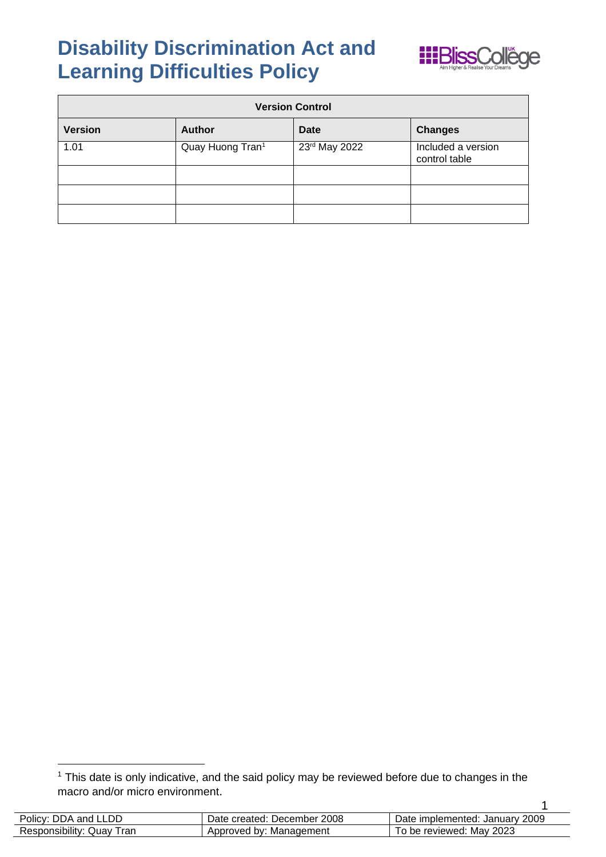## **Disability Discrimination Act and Learning Difficulties Policy**



| <b>Version Control</b> |                  |                 |                                     |
|------------------------|------------------|-----------------|-------------------------------------|
| <b>Version</b>         | <b>Author</b>    | <b>Date</b>     | <b>Changes</b>                      |
| 1.01                   | Quay Huong Tran1 | $23rd$ May 2022 | Included a version<br>control table |
|                        |                  |                 |                                     |
|                        |                  |                 |                                     |
|                        |                  |                 |                                     |

 $1$  This date is only indicative, and the said policy may be reviewed before due to changes in the macro and/or micro environment.

| Policy: DDA and LLDD      | Date created: December 2008 | Date implemented: January 2009 |
|---------------------------|-----------------------------|--------------------------------|
| Responsibility: Quay Tran | Approved by: Management     | To be reviewed: May 2023       |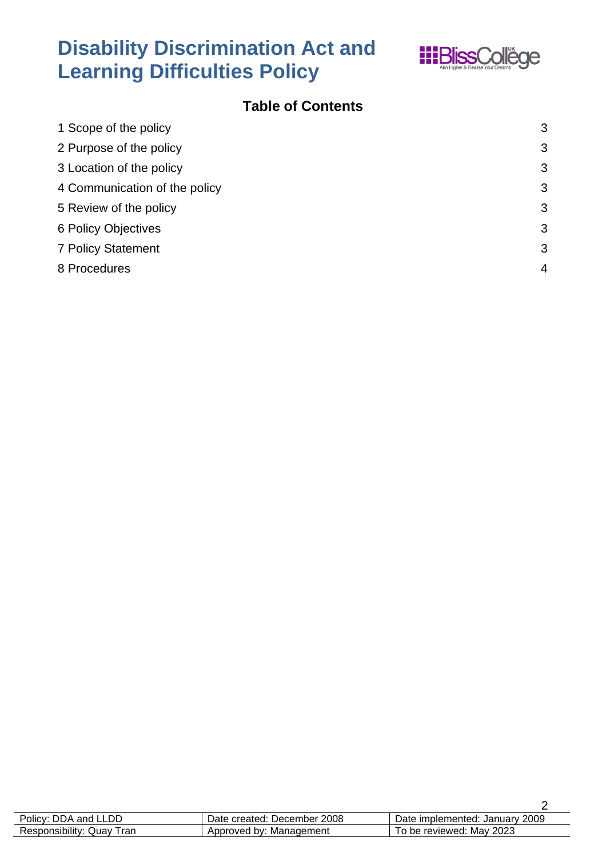

### **Disability Discrimination Act and Learning Difficulties Policy**

### **Table of Contents**

| 1 Scope of the policy         | 3              |
|-------------------------------|----------------|
| 2 Purpose of the policy       | 3              |
| 3 Location of the policy      | 3              |
| 4 Communication of the policy | 3              |
| 5 Review of the policy        | 3              |
| 6 Policy Objectives           | 3              |
| <b>7 Policy Statement</b>     | 3              |
| 8 Procedures                  | $\overline{4}$ |
|                               |                |

| Policy: DDA and LLDD      | Date created: December 2008 | Date implemented: January 2009 |
|---------------------------|-----------------------------|--------------------------------|
| Responsibility: Quay Tran | Approved by: Management     | To be reviewed: May 2023       |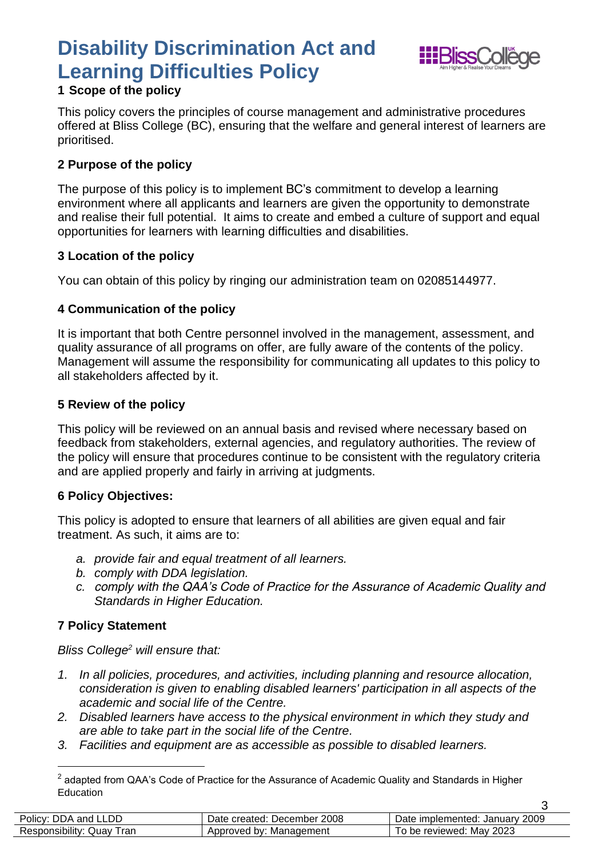## **Disability Discrimination Act and Learning Difficulties Policy**



3

#### <span id="page-2-0"></span>**1 Scope of the policy**

This policy covers the principles of course management and administrative procedures offered at Bliss College (BC), ensuring that the welfare and general interest of learners are prioritised.

#### <span id="page-2-1"></span>**2 Purpose of the policy**

The purpose of this policy is to implement BC's commitment to develop a learning environment where all applicants and learners are given the opportunity to demonstrate and realise their full potential. It aims to create and embed a culture of support and equal opportunities for learners with learning difficulties and disabilities.

#### <span id="page-2-2"></span>**3 Location of the policy**

You can obtain of this policy by ringing our administration team on 02085144977.

#### <span id="page-2-3"></span>**4 Communication of the policy**

It is important that both Centre personnel involved in the management, assessment, and quality assurance of all programs on offer, are fully aware of the contents of the policy. Management will assume the responsibility for communicating all updates to this policy to all stakeholders affected by it.

#### <span id="page-2-4"></span>**5 Review of the policy**

This policy will be reviewed on an annual basis and revised where necessary based on feedback from stakeholders, external agencies, and regulatory authorities. The review of the policy will ensure that procedures continue to be consistent with the regulatory criteria and are applied properly and fairly in arriving at judgments.

#### <span id="page-2-5"></span>**6 Policy Objectives:**

This policy is adopted to ensure that learners of all abilities are given equal and fair treatment. As such, it aims are to:

- *a. provide fair and equal treatment of all learners.*
- *b. comply with DDA legislation.*
- *c. comply with the QAA's Code of Practice for the Assurance of Academic Quality and Standards in Higher Education.*

#### <span id="page-2-6"></span>**7 Policy Statement**

*Bliss College<sup>2</sup> will ensure that:* 

- *1. In all policies, procedures, and activities, including planning and resource allocation, consideration is given to enabling disabled learners' participation in all aspects of the academic and social life of the Centre.*
- *2. Disabled learners have access to the physical environment in which they study and are able to take part in the social life of the Centre.*
- *3. Facilities and equipment are as accessible as possible to disabled learners.*

 $^{\rm 2}$  adapted from QAA's Code of Practice for the Assurance of Academic Quality and Standards in Higher Education

| Policy: DDA and LLDD                | Date created: December 2008 | Date implemented: January 2009 |
|-------------------------------------|-----------------------------|--------------------------------|
| Tran<br>Responsibility: 0<br>: Quav | Management<br>Approved by:  | Mav 2023<br>To be reviewed:    |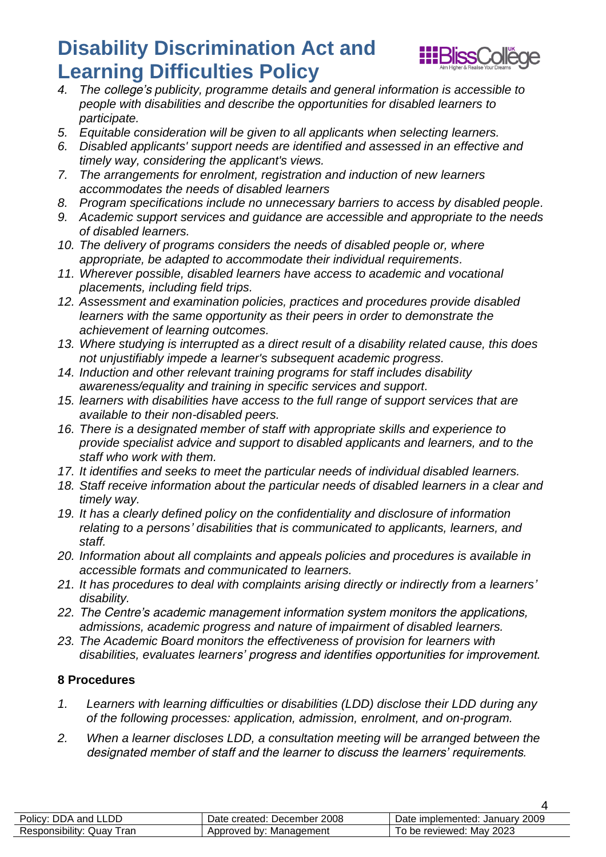# **Disability Discrimination Act and Learning Difficulties Policy**<br>4. The college's publicity, programme details an



- *4. The college's publicity, programme details and general information is accessible to people with disabilities and describe the opportunities for disabled learners to participate.*
- *5. Equitable consideration will be given to all applicants when selecting learners.*
- *6. Disabled applicants' support needs are identified and assessed in an effective and timely way, considering the applicant's views.*
- *7. The arrangements for enrolment, registration and induction of new learners accommodates the needs of disabled learners*
- *8. Program specifications include no unnecessary barriers to access by disabled people.*
- *9. Academic support services and guidance are accessible and appropriate to the needs of disabled learners.*
- *10. The delivery of programs considers the needs of disabled people or, where appropriate, be adapted to accommodate their individual requirements.*
- *11. Wherever possible, disabled learners have access to academic and vocational placements, including field trips.*
- *12. Assessment and examination policies, practices and procedures provide disabled learners with the same opportunity as their peers in order to demonstrate the achievement of learning outcomes.*
- *13. Where studying is interrupted as a direct result of a disability related cause, this does not unjustifiably impede a learner's subsequent academic progress.*
- *14. Induction and other relevant training programs for staff includes disability awareness/equality and training in specific services and support.*
- *15. learners with disabilities have access to the full range of support services that are available to their non-disabled peers.*
- *16. There is a designated member of staff with appropriate skills and experience to provide specialist advice and support to disabled applicants and learners, and to the staff who work with them.*
- *17. It identifies and seeks to meet the particular needs of individual disabled learners.*
- *18. Staff receive information about the particular needs of disabled learners in a clear and timely way.*
- *19. It has a clearly defined policy on the confidentiality and disclosure of information relating to a persons' disabilities that is communicated to applicants, learners, and staff.*
- *20. Information about all complaints and appeals policies and procedures is available in accessible formats and communicated to learners.*
- *21. It has procedures to deal with complaints arising directly or indirectly from a learners' disability.*
- *22. The Centre's academic management information system monitors the applications, admissions, academic progress and nature of impairment of disabled learners.*
- *23. The Academic Board monitors the effectiveness of provision for learners with disabilities, evaluates learners' progress and identifies opportunities for improvement.*

#### <span id="page-3-0"></span>**8 Procedures**

- *1. Learners with learning difficulties or disabilities (LDD) disclose their LDD during any of the following processes: application, admission, enrolment, and on-program.*
- *2. When a learner discloses LDD, a consultation meeting will be arranged between the designated member of staff and the learner to discuss the learners' requirements.*

| Policy: DDA and LLDD      | Date created: December 2008 | Date implemented: January 2009 |
|---------------------------|-----------------------------|--------------------------------|
| Responsibility: Quay Tran | Approved by: Management     | To be reviewed: May 2023       |